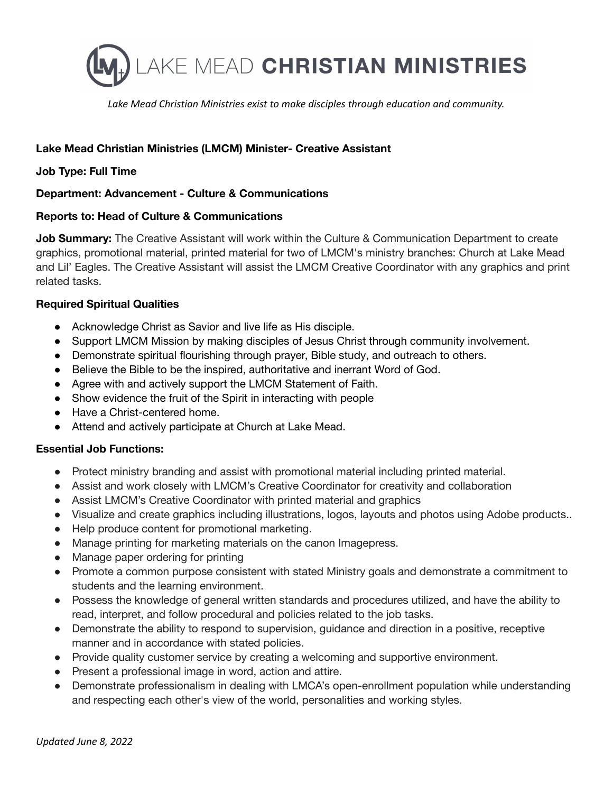

*Lake Mead Christian Ministries exist to make disciples through education and community.*

# **Lake Mead Christian Ministries (LMCM) Minister- Creative Assistant**

## **Job Type: Full Time**

## **Department: Advancement - Culture & Communications**

## **Reports to: Head of Culture & Communications**

**Job Summary:** The Creative Assistant will work within the Culture & Communication Department to create graphics, promotional material, printed material for two of LMCM's ministry branches: Church at Lake Mead and Lil' Eagles. The Creative Assistant will assist the LMCM Creative Coordinator with any graphics and print related tasks.

## **Required Spiritual Qualities**

- Acknowledge Christ as Savior and live life as His disciple.
- Support LMCM Mission by making disciples of Jesus Christ through community involvement.
- Demonstrate spiritual flourishing through prayer, Bible study, and outreach to others.
- Believe the Bible to be the inspired, authoritative and inerrant Word of God.
- Agree with and actively support the LMCM Statement of Faith.
- Show evidence the fruit of the Spirit in interacting with people
- Have a Christ-centered home.
- Attend and actively participate at Church at Lake Mead.

## **Essential Job Functions:**

- Protect ministry branding and assist with promotional material including printed material.
- Assist and work closely with LMCM's Creative Coordinator for creativity and collaboration
- Assist LMCM's Creative Coordinator with printed material and graphics
- Visualize and create graphics including illustrations, logos, layouts and photos using Adobe products..
- Help produce content for promotional marketing.
- Manage printing for marketing materials on the canon Imagepress.
- Manage paper ordering for printing
- Promote a common purpose consistent with stated Ministry goals and demonstrate a commitment to students and the learning environment.
- Possess the knowledge of general written standards and procedures utilized, and have the ability to read, interpret, and follow procedural and policies related to the job tasks.
- Demonstrate the ability to respond to supervision, guidance and direction in a positive, receptive manner and in accordance with stated policies.
- Provide quality customer service by creating a welcoming and supportive environment.
- Present a professional image in word, action and attire.
- Demonstrate professionalism in dealing with LMCA's open-enrollment population while understanding and respecting each other's view of the world, personalities and working styles.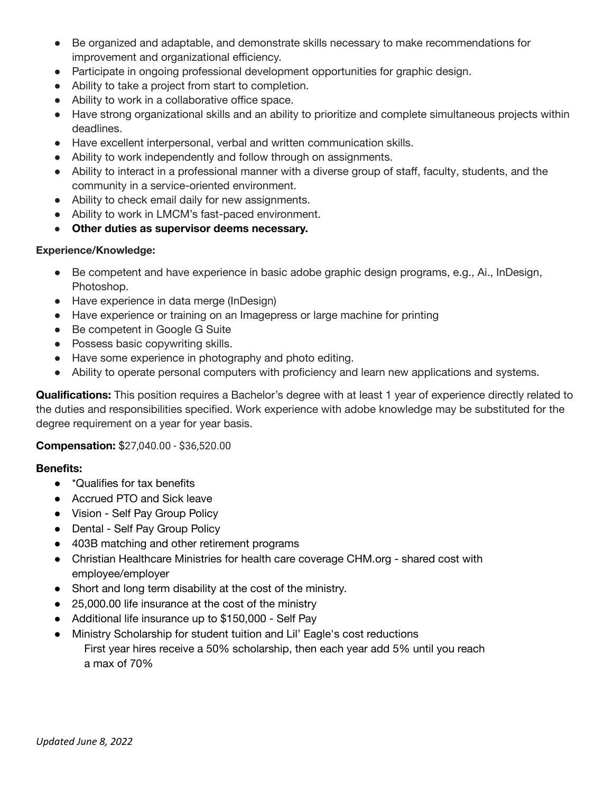- Be organized and adaptable, and demonstrate skills necessary to make recommendations for improvement and organizational efficiency.
- Participate in ongoing professional development opportunities for graphic design.
- Ability to take a project from start to completion.
- Ability to work in a collaborative office space.
- Have strong organizational skills and an ability to prioritize and complete simultaneous projects within deadlines.
- Have excellent interpersonal, verbal and written communication skills.
- Ability to work independently and follow through on assignments.
- Ability to interact in a professional manner with a diverse group of staff, faculty, students, and the community in a service-oriented environment.
- Ability to check email daily for new assignments.
- Ability to work in LMCM's fast-paced environment.
- **Other duties as supervisor deems necessary.**

#### **Experience/Knowledge:**

- Be competent and have experience in basic adobe graphic design programs, e.g., Ai., InDesign, Photoshop.
- Have experience in data merge (InDesign)
- Have experience or training on an Imagepress or large machine for printing
- Be competent in Google G Suite
- Possess basic copywriting skills.
- Have some experience in photography and photo editing.
- Ability to operate personal computers with proficiency and learn new applications and systems.

**Qualifications:** This position requires a Bachelor's degree with at least 1 year of experience directly related to the duties and responsibilities specified. Work experience with adobe knowledge may be substituted for the degree requirement on a year for year basis.

## **Compensation:** \$27,040.00 - \$36,520.00

## **Benefits:**

- \*Qualifies for tax benefits
- Accrued PTO and Sick leave
- Vision Self Pay Group Policy
- Dental Self Pay Group Policy
- 403B matching and other retirement programs
- Christian Healthcare Ministries for health care coverage CHM.org shared cost with employee/employer
- Short and long term disability at the cost of the ministry.
- 25,000.00 life insurance at the cost of the ministry
- Additional life insurance up to \$150,000 Self Pay
- Ministry Scholarship for student tuition and Lil' Eagle's cost reductions First year hires receive a 50% scholarship, then each year add 5% until you reach a max of 70%